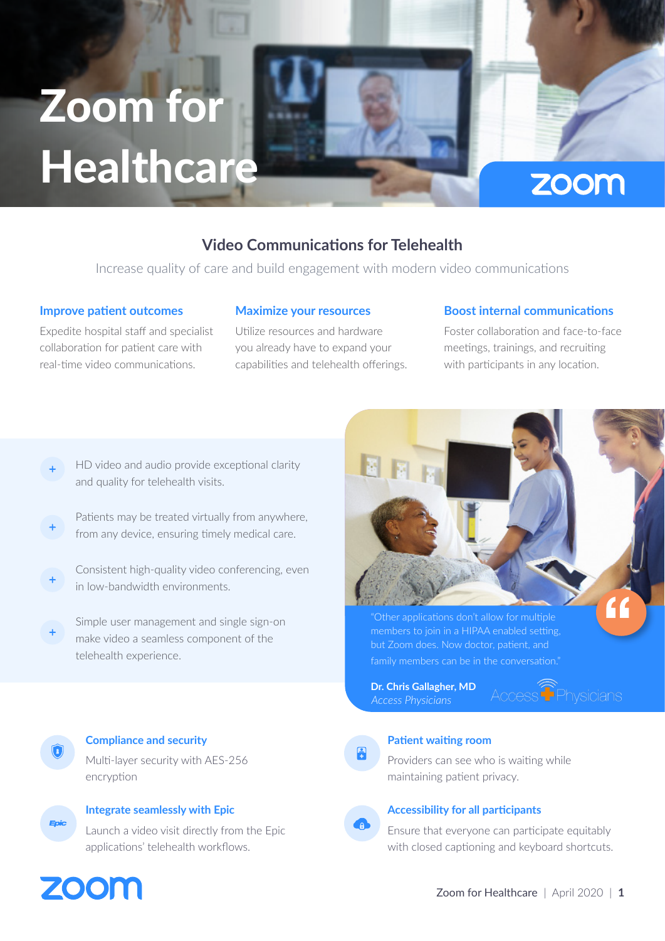# Zoom for **Healthcare**

# **Video Communications for Telehealth**

Increase quality of care and build engagement with modern video communications

#### **Improve patient outcomes**

Expedite hospital staff and specialist collaboration for patient care with real-time video communications.

#### **Maximize your resources**

Utilize resources and hardware you already have to expand your capabilities and telehealth offerings.

### **Boost internal communications**

Foster collaboration and face-to-face meetings, trainings, and recruiting with participants in any location.

zoom

- HD video and audio provide exceptional clarity and quality for telehealth visits.
- Patients may be treated virtually from anywhere, from any device, ensuring timely medical care.
- Consistent high-quality video conferencing, even in low-bandwidth environments.
- Simple user management and single sign-on make video a seamless component of the telehealth experience.



members to join in a HIPAA enabled setting, but Zoom does. Now doctor, patient, and family members can be in the conversation."

**Dr. Chris Gallagher, MD**

Access<sup><sup>T</sup>Physicians</sup>



## **Patient waiting room**

Providers can see who is waiting while maintaining patient privacy.



#### **Accessibility for all participants**

Ensure that everyone can participate equitably with closed captioning and keyboard shortcuts.



# **Integrate seamlessly with Epic**

Multi-layer security with AES-256

**Compliance and security**

Launch a video visit directly from the Epic applications' telehealth workflows.



encryption